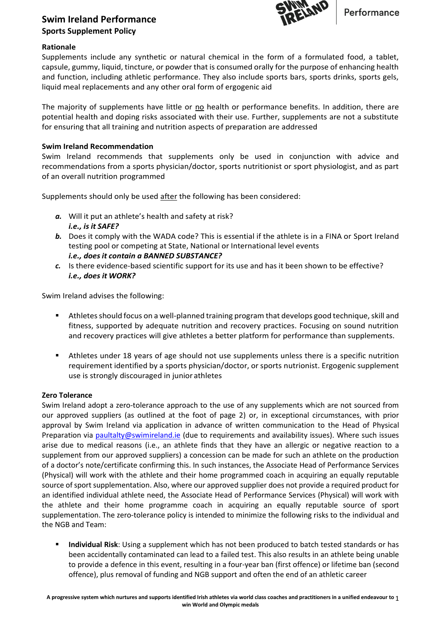

# **Swim Ireland Performance Sports Supplement Policy**

## **Rationale**

Supplements include any synthetic or natural chemical in the form of a formulated food, a tablet, capsule, gummy, liquid, tincture, or powder that is consumed orally for the purpose of enhancing health and function, including athletic performance. They also include sports bars, sports drinks, sports gels, liquid meal replacements and any other oral form of ergogenic aid

The majority of supplements have little or no health or performance benefits. In addition, there are potential health and doping risks associated with their use. Further, supplements are not a substitute for ensuring that all training and nutrition aspects of preparation are addressed

### **Swim Ireland Recommendation**

Swim Ireland recommends that supplements only be used in conjunction with advice and recommendations from a sports physician/doctor, sports nutritionist or sport physiologist, and as part of an overall nutrition programmed

Supplements should only be used after the following has been considered:

- *a.* Will it put an athlete's health and safety at risk? *i.e., is it SAFE?*
- *b.* Does it comply with the WADA code? This is essential if the athlete is in a FINA or Sport Ireland testing pool or competing at State, National or International level events *i.e., does it contain a BANNED SUBSTANCE?*
- *c.* Is there evidence-based scientific support for its use and has it been shown to be effective? *i.e., does it WORK?*

Swim Ireland advises the following:

- Athletes should focus on a well-planned training program that develops good technique, skill and fitness, supported by adequate nutrition and recovery practices. Focusing on sound nutrition and recovery practices will give athletes a better platform for performance than supplements.
- Athletes under 18 years of age should not use supplements unless there is a specific nutrition requirement identified by a sports physician/doctor, or sports nutrionist. Ergogenic supplement use is strongly discouraged in junior athletes

## **Zero Tolerance**

Swim Ireland adopt a zero-tolerance approach to the use of any supplements which are not sourced from our approved suppliers (as outlined at the foot of page 2) or, in exceptional circumstances, with prior approval by Swim Ireland via application in advance of written communication to the Head of Physical Preparation via [paultalty@swimireland.ie](mailto:paultalty@swimireland.ie) (due to requirements and availability issues). Where such issues arise due to medical reasons (i.e., an athlete finds that they have an allergic or negative reaction to a supplement from our approved suppliers) a concession can be made for such an athlete on the production of a doctor's note/certificate confirming this. In such instances, the Associate Head of Performance Services (Physical) will work with the athlete and their home programmed coach in acquiring an equally reputable source of sport supplementation. Also, where our approved supplier does not provide a required product for an identified individual athlete need, the Associate Head of Performance Services (Physical) will work with the athlete and their home programme coach in acquiring an equally reputable source of sport supplementation. The zero-tolerance policy is intended to minimize the following risks to the individual and the NGB and Team:

**EXED Individual Risk**: Using a supplement which has not been produced to batch tested standards or has been accidentally contaminated can lead to a failed test. This also results in an athlete being unable to provide a defence in this event, resulting in a four-year ban (first offence) or lifetime ban (second offence), plus removal of funding and NGB support and often the end of an athletic career